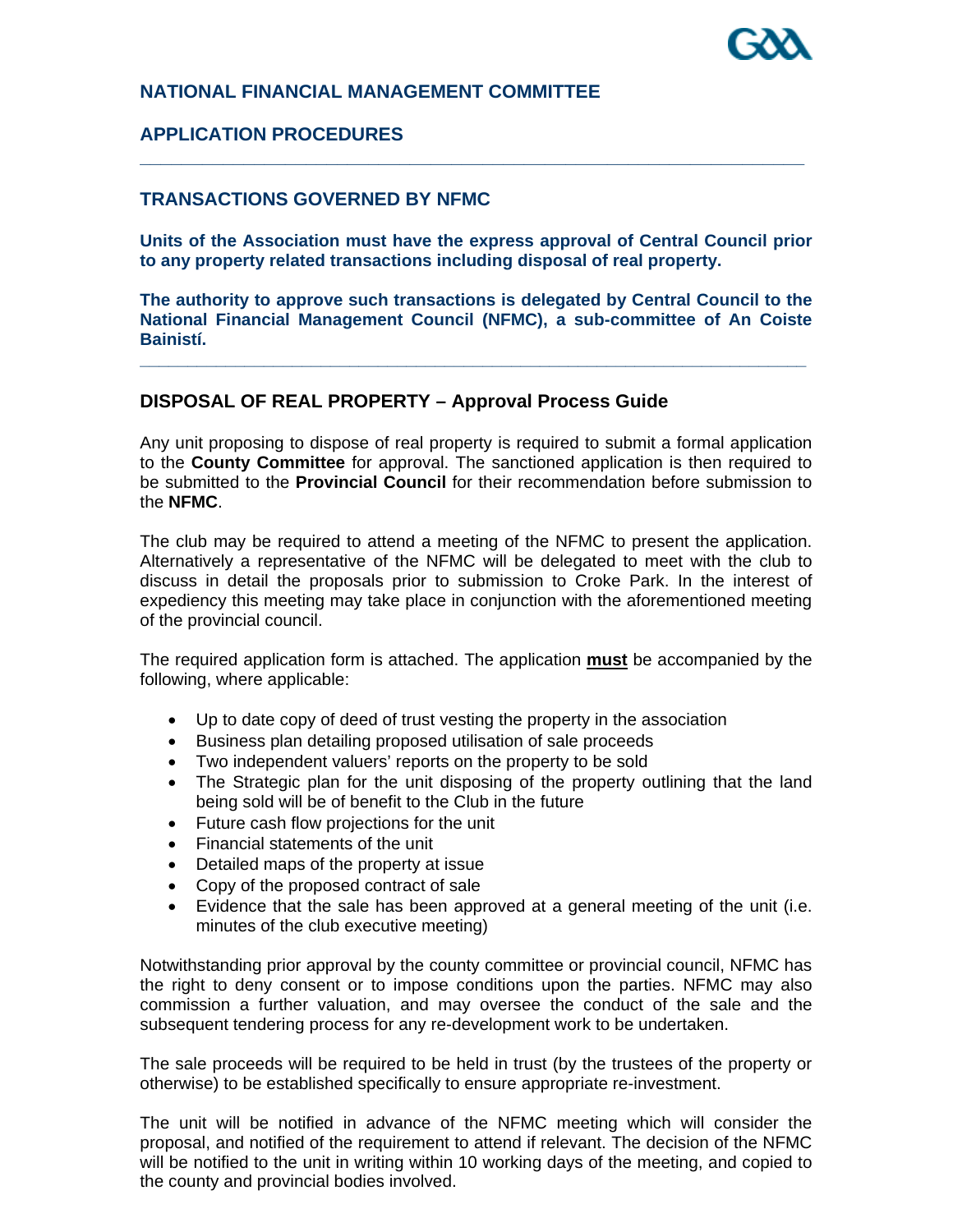

## **NATIONAL FINANCIAL MANAGEMENT COMMITTEE**

## **APPLICATION PROCEDURES**

## **TRANSACTIONS GOVERNED BY NFMC**

**Units of the Association must have the express approval of Central Council prior to any property related transactions including disposal of real property.** 

**\_\_\_\_\_\_\_\_\_\_\_\_\_\_\_\_\_\_\_\_\_\_\_\_\_\_\_\_\_\_\_\_\_\_\_\_\_\_\_\_\_\_\_\_\_\_\_\_\_\_\_\_\_\_\_\_\_\_\_\_\_\_\_\_** 

**The authority to approve such transactions is delegated by Central Council to the National Financial Management Council (NFMC), a sub-committee of An Coiste Bainistí.** 

**\_\_\_\_\_\_\_\_\_\_\_\_\_\_\_\_\_\_\_\_\_\_\_\_\_\_\_\_\_\_\_\_\_\_\_\_\_\_\_\_\_\_\_\_\_\_\_\_\_\_\_\_\_\_\_\_\_\_\_\_\_\_\_\_\_\_\_\_\_\_** 

### **DISPOSAL OF REAL PROPERTY – Approval Process Guide**

Any unit proposing to dispose of real property is required to submit a formal application to the **County Committee** for approval. The sanctioned application is then required to be submitted to the **Provincial Council** for their recommendation before submission to the **NFMC**.

The club may be required to attend a meeting of the NFMC to present the application. Alternatively a representative of the NFMC will be delegated to meet with the club to discuss in detail the proposals prior to submission to Croke Park. In the interest of expediency this meeting may take place in conjunction with the aforementioned meeting of the provincial council.

The required application form is attached. The application **must** be accompanied by the following, where applicable:

- Up to date copy of deed of trust vesting the property in the association
- Business plan detailing proposed utilisation of sale proceeds
- Two independent valuers' reports on the property to be sold
- The Strategic plan for the unit disposing of the property outlining that the land being sold will be of benefit to the Club in the future
- Future cash flow projections for the unit
- Financial statements of the unit
- Detailed maps of the property at issue
- Copy of the proposed contract of sale
- Evidence that the sale has been approved at a general meeting of the unit (i.e. minutes of the club executive meeting)

Notwithstanding prior approval by the county committee or provincial council, NFMC has the right to deny consent or to impose conditions upon the parties. NFMC may also commission a further valuation, and may oversee the conduct of the sale and the subsequent tendering process for any re-development work to be undertaken.

The sale proceeds will be required to be held in trust (by the trustees of the property or otherwise) to be established specifically to ensure appropriate re-investment.

The unit will be notified in advance of the NFMC meeting which will consider the proposal, and notified of the requirement to attend if relevant. The decision of the NFMC will be notified to the unit in writing within 10 working days of the meeting, and copied to the county and provincial bodies involved.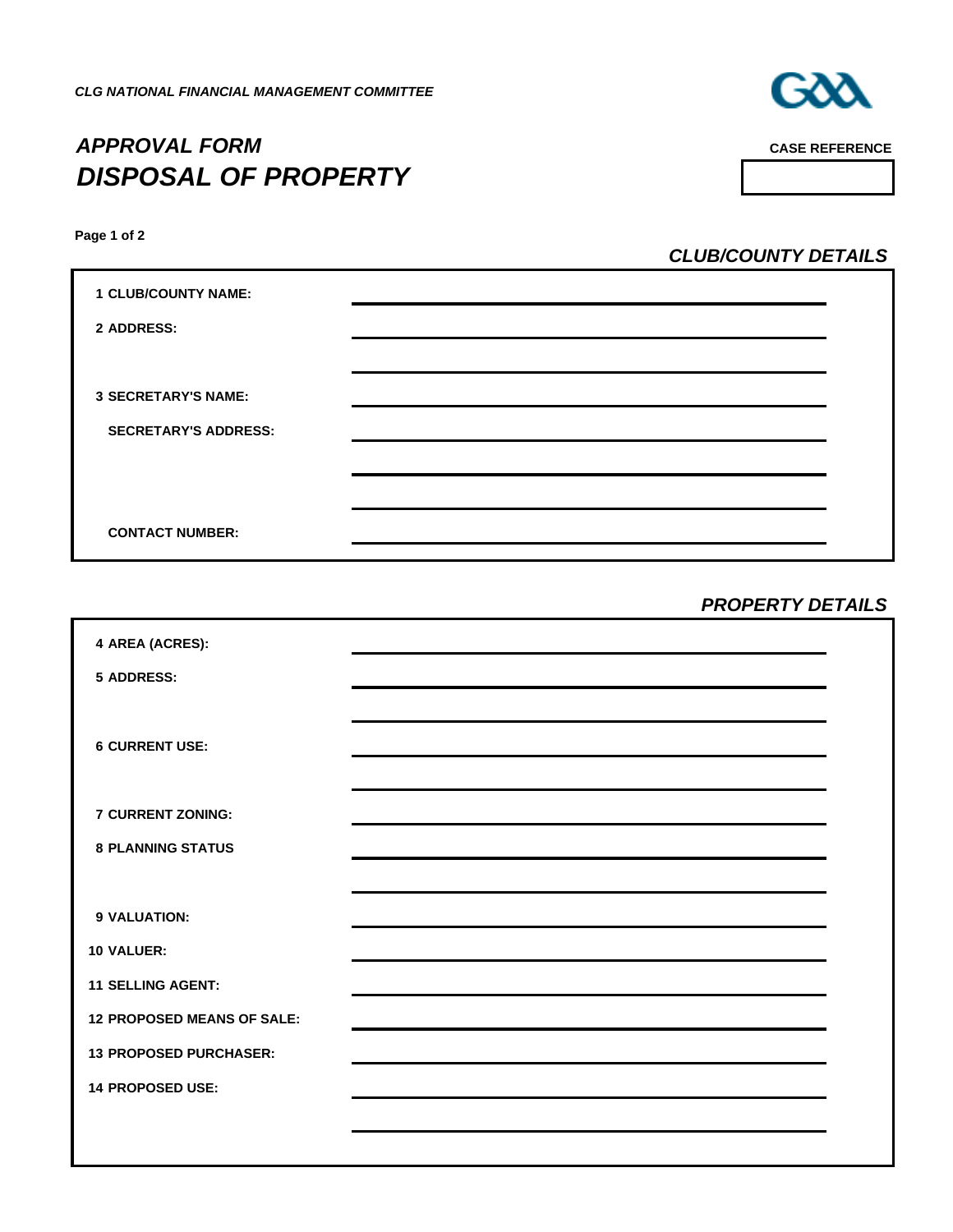

# *APPROVAL FORM CASE REFERENCE DISPOSAL OF PROPERTY*

**Page 1 of 2**

*CLUB/COUNTY DETAILS*

| <b>1 CLUB/COUNTY NAME:</b>  |  |
|-----------------------------|--|
| 2 ADDRESS:                  |  |
|                             |  |
| <b>3 SECRETARY'S NAME:</b>  |  |
| <b>SECRETARY'S ADDRESS:</b> |  |
|                             |  |
|                             |  |
| <b>CONTACT NUMBER:</b>      |  |

## *PROPERTY DETAILS*

| 4 AREA (ACRES):                   |                                                                                                                 |  |
|-----------------------------------|-----------------------------------------------------------------------------------------------------------------|--|
| 5 ADDRESS:                        |                                                                                                                 |  |
|                                   |                                                                                                                 |  |
| <b>6 CURRENT USE:</b>             | the contract of the contract of the contract of the contract of the contract of the contract of the contract of |  |
|                                   |                                                                                                                 |  |
| <b>7 CURRENT ZONING:</b>          |                                                                                                                 |  |
| <b>8 PLANNING STATUS</b>          |                                                                                                                 |  |
|                                   |                                                                                                                 |  |
| 9 VALUATION:                      |                                                                                                                 |  |
| <b>10 VALUER:</b>                 |                                                                                                                 |  |
| <b>11 SELLING AGENT:</b>          |                                                                                                                 |  |
| <b>12 PROPOSED MEANS OF SALE:</b> |                                                                                                                 |  |
| <b>13 PROPOSED PURCHASER:</b>     |                                                                                                                 |  |
| <b>14 PROPOSED USE:</b>           |                                                                                                                 |  |
|                                   |                                                                                                                 |  |
|                                   |                                                                                                                 |  |